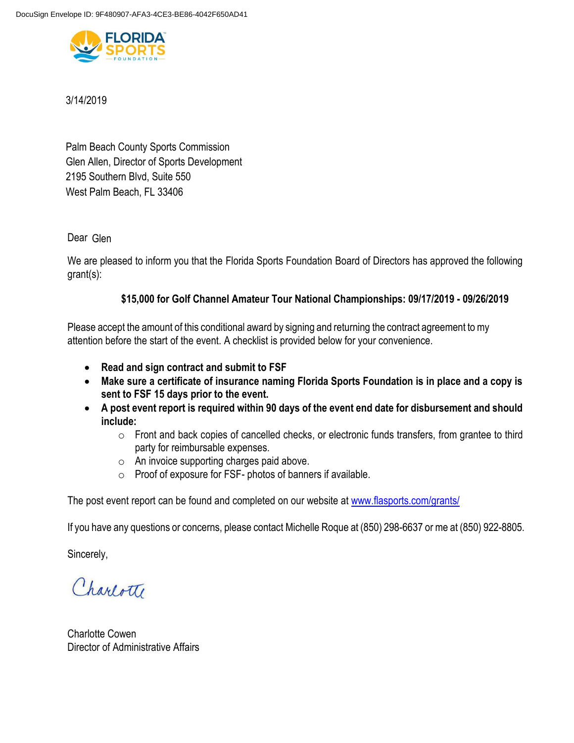

# 3/14/2019

Palm Beach County Sports Commission 2195 Southern Blvd, Suite 550 West Palm Beach, FL 33406 Glen Allen, Director of Sports Development

Dear Glen

We are pleased to inform you that the Florida Sports Foundation Board of Directors has approved the following grant(s):

# **\$15,000 for Golf Channel Amateur Tour National Championships: 09/17/2019 - 09/26/2019**

Please accept the amount of this conditional award by signing and returning the contract agreement to my attention before the start of the event. A checklist is provided below for your convenience.

- **Read and sign contract and submit to FSF**
- **Make sure a certificate of insurance naming Florida Sports Foundation is in place and a copy is sent to FSF 15 days prior to the event.**
- **A post event report is required within 90 days of the event end date for disbursement and should include:**
	- o Front and back copies of cancelled checks, or electronic funds transfers, from grantee to third party for reimbursable expenses.
	- o An invoice supporting charges paid above.
	- o Proof of exposure for FSF- photos of banners if available.

The post event report can be found and completed on our website at [www.flasports.com/grants/](http://www.flasports.com/grants/)

If you have any questions or concerns, please contact Michelle Roque at (850) 298-6637 or me at (850) 922-8805.

Sincerely,

Charlotte

Charlotte Cowen Director of Administrative Affairs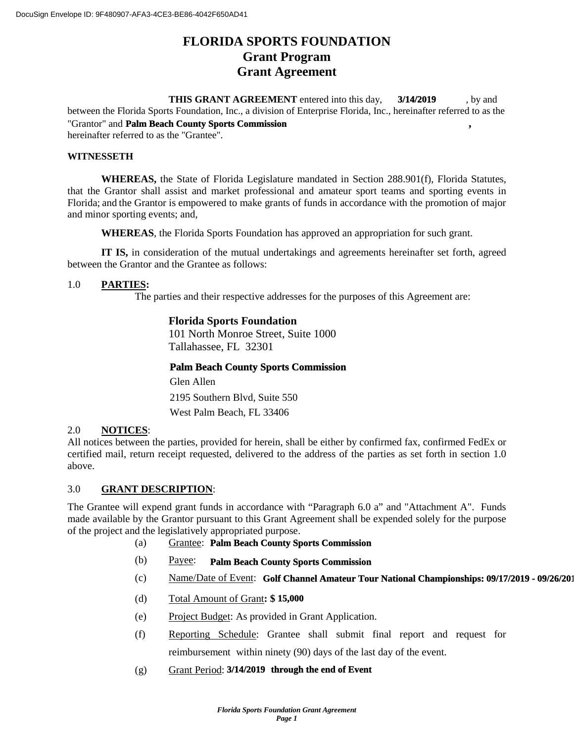# **FLORIDA SPORTS FOUNDATION Grant Program Grant Agreement**

**THIS GRANT AGREEMENT** entered into this day, 3/14/2019 by and between the Florida Sports Foundation, Inc., a division of Enterprise Florida, Inc., hereinafter referred to as the "Grantor" and **Palm Beach County Sports Commission**, hereinafter referred to as the "Grantee". **3/14/2019**

#### **WITNESSETH**

**WHEREAS,** the State of Florida Legislature mandated in Section 288.901(f), Florida Statutes, that the Grantor shall assist and market professional and amateur sport teams and sporting events in Florida; and the Grantor is empowered to make grants of funds in accordance with the promotion of major and minor sporting events; and,

**WHEREAS**, the Florida Sports Foundation has approved an appropriation for such grant.

**IT IS,** in consideration of the mutual undertakings and agreements hereinafter set forth, agreed between the Grantor and the Grantee as follows:

#### 1.0 **PARTIES:**

The parties and their respective addresses for the purposes of this Agreement are:

# **Florida Sports Foundation**

101 North Monroe Street, Suite 1000 Tallahassee, FL 32301

#### **Palm Beach County Sports Commission**

Glen Allen West Palm Beach, FL 33406 2195 Southern Blvd, Suite 550

#### 2.0 **NOTICES**:

All notices between the parties, provided for herein, shall be either by confirmed fax, confirmed FedEx or certified mail, return receipt requested, delivered to the address of the parties as set forth in section 1.0 above.

## 3.0 **GRANT DESCRIPTION**:

The Grantee will expend grant funds in accordance with "Paragraph 6.0 a" and "Attachment A". Funds made available by the Grantor pursuant to this Grant Agreement shall be expended solely for the purpose of the project and the legislatively appropriated purpose.

- (a) Grantee: **Palm Beach County Sports Commission**
- (b) Payee: **Palm Beach County Sports Commission**
- (c) Mame/Date of Event: Golf Channel Amateur Tour National Championships: 09/17/2019 09/26/201
- (d) Total Amount of Grant**: \$ 15,000**
- (e) Project Budget: As provided in Grant Application.
- (f) Reporting Schedule: Grantee shall submit final report and request for reimbursement within ninety (90) days of the last day of the event.
- (g) Grant Period: **3/14/2019** through the end of Event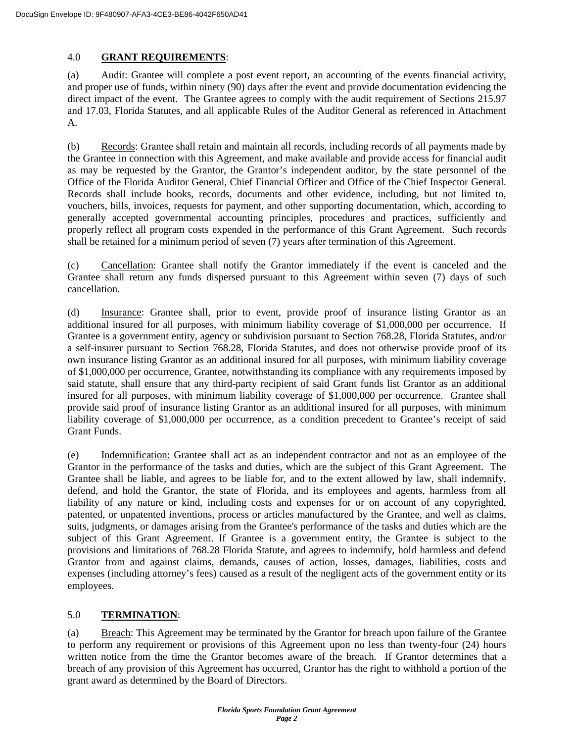## 4.0 **GRANT REQUIREMENTS**:

(a) Audit: Grantee will complete a post event report, an accounting of the events financial activity, and proper use of funds, within ninety (90) days after the event and provide documentation evidencing the direct impact of the event. The Grantee agrees to comply with the audit requirement of Sections 215.97 and 17.03, Florida Statutes, and all applicable Rules of the Auditor General as referenced in Attachment A.

(b) Records: Grantee shall retain and maintain all records, including records of all payments made by the Grantee in connection with this Agreement, and make available and provide access for financial audit as may be requested by the Grantor, the Grantor's independent auditor, by the state personnel of the Office of the Florida Auditor General, Chief Financial Officer and Office of the Chief Inspector General. Records shall include books, records, documents and other evidence, including, but not limited to, vouchers, bills, invoices, requests for payment, and other supporting documentation, which, according to generally accepted governmental accounting principles, procedures and practices, sufficiently and properly reflect all program costs expended in the performance of this Grant Agreement. Such records shall be retained for a minimum period of seven (7) years after termination of this Agreement.

(c) Cancellation: Grantee shall notify the Grantor immediately if the event is canceled and the Grantee shall return any funds dispersed pursuant to this Agreement within seven (7) days of such cancellation.

(d) Insurance: Grantee shall, prior to event, provide proof of insurance listing Grantor as an additional insured for all purposes, with minimum liability coverage of \$1,000,000 per occurrence. If Grantee is a government entity, agency or subdivision pursuant to Section 768.28, Florida Statutes, and/or a self-insurer pursuant to Section 768.28, Florida Statutes, and does not otherwise provide proof of its own insurance listing Grantor as an additional insured for all purposes, with minimum liability coverage of \$1,000,000 per occurrence, Grantee, notwithstanding its compliance with any requirements imposed by said statute, shall ensure that any third-party recipient of said Grant funds list Grantor as an additional insured for all purposes, with minimum liability coverage of \$1,000,000 per occurrence. Grantee shall provide said proof of insurance listing Grantor as an additional insured for all purposes, with minimum liability coverage of \$1,000,000 per occurrence, as a condition precedent to Grantee's receipt of said Grant Funds.

(e) Indemnification: Grantee shall act as an independent contractor and not as an employee of the Grantor in the performance of the tasks and duties, which are the subject of this Grant Agreement. The Grantee shall be liable, and agrees to be liable for, and to the extent allowed by law, shall indemnify, defend, and hold the Grantor, the state of Florida, and its employees and agents, harmless from all liability of any nature or kind, including costs and expenses for or on account of any copyrighted, patented, or unpatented inventions, process or articles manufactured by the Grantee, and well as claims, suits, judgments, or damages arising from the Grantee's performance of the tasks and duties which are the subject of this Grant Agreement. If Grantee is a government entity, the Grantee is subject to the provisions and limitations of 768.28 Florida Statute, and agrees to indemnify, hold harmless and defend Grantor from and against claims, demands, causes of action, losses, damages, liabilities, costs and expenses (including attorney's fees) caused as a result of the negligent acts of the government entity or its employees.

## 5.0 **TERMINATION**:

(a) Breach: This Agreement may be terminated by the Grantor for breach upon failure of the Grantee to perform any requirement or provisions of this Agreement upon no less than twenty-four (24) hours written notice from the time the Grantor becomes aware of the breach. If Grantor determines that a breach of any provision of this Agreement has occurred, Grantor has the right to withhold a portion of the grant award as determined by the Board of Directors.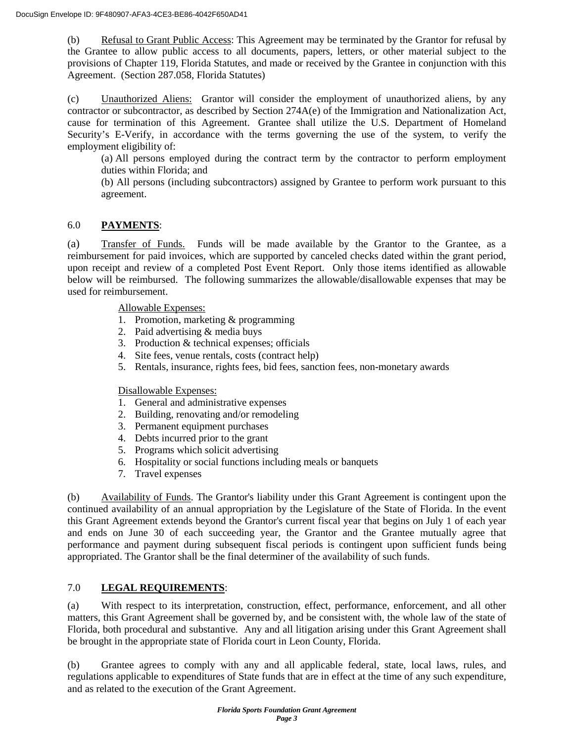(b) Refusal to Grant Public Access: This Agreement may be terminated by the Grantor for refusal by the Grantee to allow public access to all documents, papers, letters, or other material subject to the provisions of Chapter 119, Florida Statutes, and made or received by the Grantee in conjunction with this Agreement. (Section 287.058, Florida Statutes)

(c) Unauthorized Aliens: Grantor will consider the employment of unauthorized aliens, by any contractor or subcontractor, as described by Section 274A(e) of the Immigration and Nationalization Act, cause for termination of this Agreement. Grantee shall utilize the U.S. Department of Homeland Security's E-Verify, in accordance with the terms governing the use of the system, to verify the employment eligibility of:

(a) All persons employed during the contract term by the contractor to perform employment duties within Florida; and

(b) All persons (including subcontractors) assigned by Grantee to perform work pursuant to this agreement.

# 6.0 **PAYMENTS**:

(a) Transfer of Funds. Funds will be made available by the Grantor to the Grantee, as a reimbursement for paid invoices, which are supported by canceled checks dated within the grant period, upon receipt and review of a completed Post Event Report. Only those items identified as allowable below will be reimbursed. The following summarizes the allowable/disallowable expenses that may be used for reimbursement.

Allowable Expenses:

- 1. Promotion, marketing & programming
- 2. Paid advertising & media buys
- 3. Production & technical expenses; officials
- 4. Site fees, venue rentals, costs (contract help)
- 5. Rentals, insurance, rights fees, bid fees, sanction fees, non-monetary awards

Disallowable Expenses:

- 1. General and administrative expenses
- 2. Building, renovating and/or remodeling
- 3. Permanent equipment purchases
- 4. Debts incurred prior to the grant
- 5. Programs which solicit advertising
- 6. Hospitality or social functions including meals or banquets
- 7. Travel expenses

(b) Availability of Funds. The Grantor's liability under this Grant Agreement is contingent upon the continued availability of an annual appropriation by the Legislature of the State of Florida. In the event this Grant Agreement extends beyond the Grantor's current fiscal year that begins on July 1 of each year and ends on June 30 of each succeeding year, the Grantor and the Grantee mutually agree that performance and payment during subsequent fiscal periods is contingent upon sufficient funds being appropriated. The Grantor shall be the final determiner of the availability of such funds.

## 7.0 **LEGAL REQUIREMENTS**:

(a) With respect to its interpretation, construction, effect, performance, enforcement, and all other matters, this Grant Agreement shall be governed by, and be consistent with, the whole law of the state of Florida, both procedural and substantive. Any and all litigation arising under this Grant Agreement shall be brought in the appropriate state of Florida court in Leon County, Florida.

(b) Grantee agrees to comply with any and all applicable federal, state, local laws, rules, and regulations applicable to expenditures of State funds that are in effect at the time of any such expenditure, and as related to the execution of the Grant Agreement.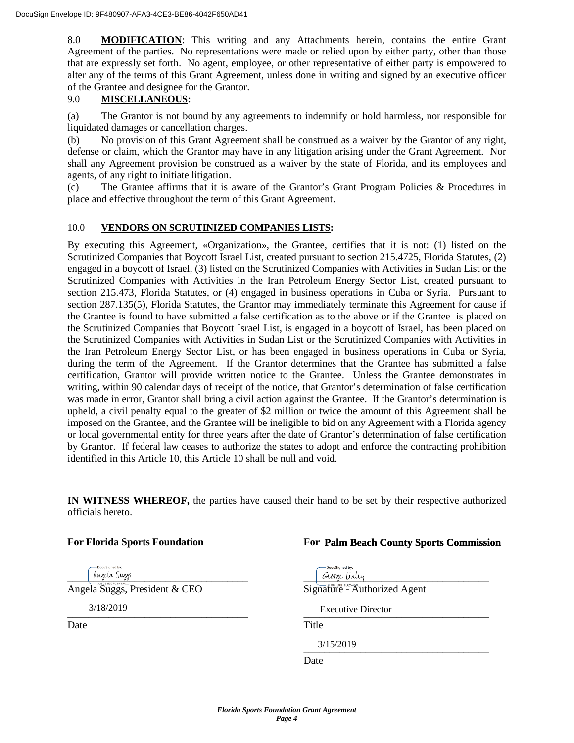8.0 **MODIFICATION**: This writing and any Attachments herein, contains the entire Grant Agreement of the parties. No representations were made or relied upon by either party, other than those that are expressly set forth. No agent, employee, or other representative of either party is empowered to alter any of the terms of this Grant Agreement, unless done in writing and signed by an executive officer of the Grantee and designee for the Grantor.

## 9.0 **MISCELLANEOUS:**

(a) The Grantor is not bound by any agreements to indemnify or hold harmless, nor responsible for liquidated damages or cancellation charges.

(b) No provision of this Grant Agreement shall be construed as a waiver by the Grantor of any right, defense or claim, which the Grantor may have in any litigation arising under the Grant Agreement. Nor shall any Agreement provision be construed as a waiver by the state of Florida, and its employees and agents, of any right to initiate litigation.

(c) The Grantee affirms that it is aware of the Grantor's Grant Program Policies & Procedures in place and effective throughout the term of this Grant Agreement.

## 10.0 **VENDORS ON SCRUTINIZED COMPANIES LISTS:**

By executing this Agreement, «Organization», the Grantee, certifies that it is not: (1) listed on the Scrutinized Companies that Boycott Israel List, created pursuant to section 215.4725, Florida Statutes, (2) engaged in a boycott of Israel, (3) listed on the Scrutinized Companies with Activities in Sudan List or the Scrutinized Companies with Activities in the Iran Petroleum Energy Sector List, created pursuant to section 215.473, Florida Statutes, or (4) engaged in business operations in Cuba or Syria. Pursuant to section 287.135(5), Florida Statutes, the Grantor may immediately terminate this Agreement for cause if the Grantee is found to have submitted a false certification as to the above or if the Grantee is placed on the Scrutinized Companies that Boycott Israel List, is engaged in a boycott of Israel, has been placed on the Scrutinized Companies with Activities in Sudan List or the Scrutinized Companies with Activities in the Iran Petroleum Energy Sector List, or has been engaged in business operations in Cuba or Syria, during the term of the Agreement. If the Grantor determines that the Grantee has submitted a false certification, Grantor will provide written notice to the Grantee. Unless the Grantee demonstrates in writing, within 90 calendar days of receipt of the notice, that Grantor's determination of false certification was made in error, Grantor shall bring a civil action against the Grantee. If the Grantor's determination is upheld, a civil penalty equal to the greater of \$2 million or twice the amount of this Agreement shall be imposed on the Grantee, and the Grantee will be ineligible to bid on any Agreement with a Florida agency or local governmental entity for three years after the date of Grantor's determination of false certification by Grantor. If federal law ceases to authorize the states to adopt and enforce the contracting prohibition identified in this Article 10, this Article 10 shall be null and void.

**IN WITNESS WHEREOF,** the parties have caused their hand to be set by their respective authorized officials hereto.

## **For Florida Sports Foundation For**

3/18/2019

Date Title

## **Palm Beach County Sports Commission**

and the sugs and the sugs of the suggest of the suggest of the suggest of the suggest of the suggest of the suggest of the suggest of the suggest of the suggest of the suggest of the suggest of the suggest of the suggest o Angela Suggs, President & CEO Signature - Authorized Agent  $\frac{1}{2}$  DIPECTOR  $3/13/2019$ 3/15/2019 Executive Director

Date